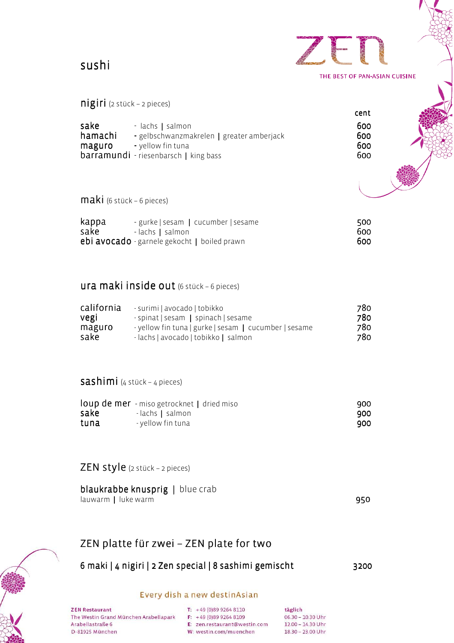sushi

| <b>ICAN</b> | J |                               |  |
|-------------|---|-------------------------------|--|
|             |   | THE BEST OF PAN-ASIAN CUISINE |  |
|             |   |                               |  |

## nigiri (2 stück – 2 pieces)

|         |                                              | cent |  |
|---------|----------------------------------------------|------|--|
| sake    | - lachs   salmon                             | 600  |  |
| hamachi | - gelbschwanzmakrelen   greater amberjack    | 600  |  |
| maguro  | - yellow fin tuna                            | 600  |  |
|         | <b>barramundi</b> - riesenbarsch   king bass | 600  |  |
|         |                                              |      |  |

maki (6 stück – 6 pieces)

| kappa | - gurke   sesam   cucumber   sesame                 | 500 |
|-------|-----------------------------------------------------|-----|
| sake  | - lachs   salmon                                    | 600 |
|       | <b>ebi avocado</b> - garnele gekocht   boiled prawn | 600 |

## ura maki inside out (6 stück – 6 pieces)

| california | - surimi   avocado   tobikko                          | 780 |
|------------|-------------------------------------------------------|-----|
| vegi       | - spinat   sesam   spinach   sesame                   | 780 |
| maguro     | - yellow fin tuna   gurke   sesam   cucumber   sesame | 780 |
| sake       | - lachs   avocado   tobikko   salmon                  | 780 |

# sashimi (4 stück – 4 pieces)

|      | <b>loup de mer</b> - miso getrocknet   dried miso | 900 |
|------|---------------------------------------------------|-----|
| sake | - lachs   salmon                                  | 900 |
| tuna | - yellow fin tuna                                 | 900 |

# ZEN style (2 stück – 2 pieces)

| <b>blaukrabbe knusprig</b>   blue crab |     |
|----------------------------------------|-----|
| lauwarm   luke warm                    | 950 |

# ZEN platte für zwei – ZEN plate for two

# 6 maki | 4 nigiri | 2 Zen special | 8 sashimi gemischt 3200

## Every dish a new destinAsian

**ZEN Restaurant** The Westin Grand München Arabellapark Arabellastraße 6 D-81925 München

T:  $+49(0)8992648110$  $F: +49(0)8992648109$ E: zen.restaurant@westin.com W: westin.com/muenchen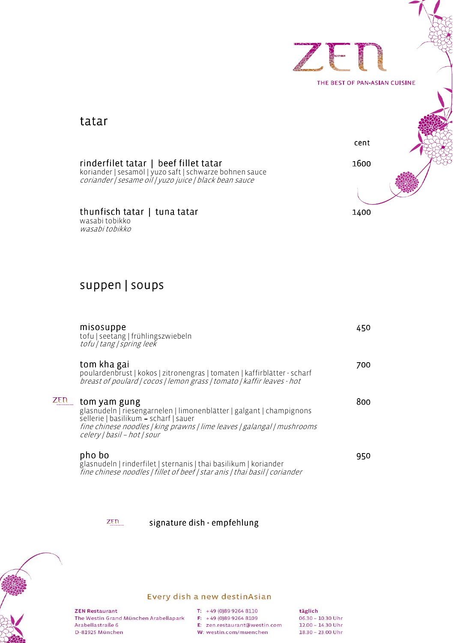

# tatar

koriander | sesamöl |yuzo saft| schwarze bohnen sauce coriander | sesame oil | yuzo juice | black bean sauce

wasabi tobikko wasabi tobikko

# suppen | soups

| misosuppe<br>tofu   seetang   frühlingszwiebeln<br>tofu   tang   spring leek                                                                                                                                                            | 450. |
|-----------------------------------------------------------------------------------------------------------------------------------------------------------------------------------------------------------------------------------------|------|
| tom kha gai<br>poulardenbrust   kokos   zitronengras   tomaten   kaffirblätter - scharf<br>breast of poulard   cocos   lemon grass   tomato   kaffir leaves - hot                                                                       | 700  |
| tom yam gung<br>glasnudeln   riesengarnelen   limonenblätter   galgant   champignons<br>sellerie   basilikum - scharf   sauer<br>fine chinese noodles   king prawns   lime leaves   galangal   mushrooms<br>celery   basil - hot   sour | 800. |
| pho bo<br>glasnudeln   rinderfilet   sternanis   thai basilikum   koriander<br>fine chinese noodles   fillet of beef   star anis   thai basil   coriander                                                                               | 950  |

### $ZEN$ signature dish - empfehlung



## Every dish a new destinAsian

**ZEN Restaurant** The Westin Grand München Arabellapark Arabellastraße 6 D-81925 München

T:  $+49(0)8992648110$ 

F: +49 (0)89 9264 8109 E: zen.restaurant@westin.com

W: westin.com/muenchen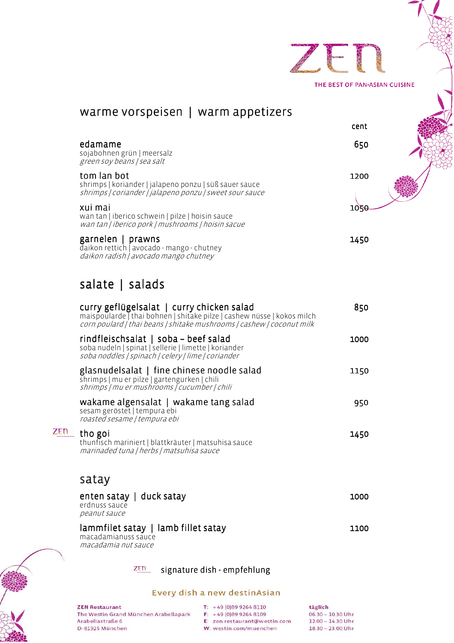

|          | maispoularde   thai bohnen   shitake pilze   cashew nüsse   kokos milch<br>corn poulard   thai beans   shitake mushrooms   cashew   coconut milk    |      |
|----------|-----------------------------------------------------------------------------------------------------------------------------------------------------|------|
|          | rindfleischsalat   soba - beef salad<br>soba nudeln   spinat   sellerie   limette   koriander<br>soba noddles   spinach   celery   lime   coriander | 1000 |
|          | glasnudelsalat   fine chinese noodle salad<br>shrimps   mu er pilze   gartengurken   chili<br>shrimps   mu er mushrooms   cucumber   chili          | 1150 |
|          | wakame algensalat   wakame tang salad<br>sesam geröstet   tempura ebi<br>roasted sesame   tempura ebi                                               | 950  |
| .<br>aug | tho goi<br>thunfisch mariniert   blattkräuter   matsuhisa sauce<br>marinaded tuna   herbs   matsuhisa sauce                                         | 1450 |
|          | satay                                                                                                                                               |      |
|          | enten satay   duck satay<br>erdnuss sauce<br>peanut sauce                                                                                           | 1000 |
|          | lammfilet satay   lamb fillet satay<br>macadamianuss sauce<br>macadamia nut sauce                                                                   | 1100 |
|          |                                                                                                                                                     |      |



## Every dish a new destinAsian

**ZEN Restaurant** The Westin Grand München Arabellapark Arabellastraße 6 D-81925 München

**ZEN** 

T:  $+49(0)8992648110$  $F: +49(0)8992648109$ E: zen.restaurant@westin.com W: westin.com/muenchen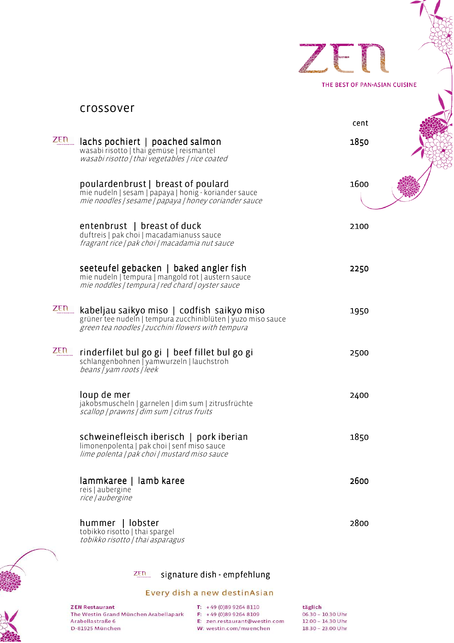| <b>IUXNY</b> | <b>AS OIL</b>                 |  |  |
|--------------|-------------------------------|--|--|
|              | THE BEST OF PAN-ASIAN CUISINE |  |  |

|            | crossover                                                                                                                                                       |      |  |
|------------|-----------------------------------------------------------------------------------------------------------------------------------------------------------------|------|--|
|            |                                                                                                                                                                 | cent |  |
| ZEN        | lachs pochiert   poached salmon<br>wasabi risotto   thai gemüse   reismantel<br>wasabi risotto   thai vegetables   rice coated                                  | 1850 |  |
|            | poulardenbrust   breast of poulard<br>mie nudeln   sesam   papaya   honig - koriander sauce<br>mie noodles   sesame   papaya   honey coriander sauce            | 1600 |  |
|            | entenbrust   breast of duck<br>duftreis   pak choi   macadamianuss sauce<br>fragrant rice   pak choi   macadamia nut sauce                                      | 2100 |  |
|            | seeteufel gebacken   baked angler fish<br>mie nudeln   tempura   mangold rot   austern sauce<br>mie noddles   tempura   red chard   oyster sauce                | 2250 |  |
| ZEN        | kabeljau saikyo miso   codfish saikyo miso<br>grüner tee nudeln   tempura zucchiniblüten   yuzo miso sauce<br>green tea noodles   zucchini flowers with tempura | 1950 |  |
| <b>ZEN</b> | rinderfilet bul go gi   beef fillet bul go gi<br>schlangenbohnen   yamwurzeln   lauchstroh<br>beans / yam roots / leek                                          | 2500 |  |
|            | loup de mer<br>jakobsmuscheln   garnelen   dim sum   zitrusfrüchte<br>scallop   prawns   dim sum   citrus fruits                                                | 2400 |  |
|            | schweinefleisch iberisch   pork iberian<br>limonenpolenta   pak choi   senf miso sauce<br>lime polenta   pak choi   mustard miso sauce                          | 1850 |  |
|            | lammkaree   lamb karee<br>reis   aubergine<br>rice   aubergine                                                                                                  | 2600 |  |
|            | hummer   lobster<br>tobikko risotto   thai spargel<br>tobikko risotto   thai asparagus                                                                          | 2800 |  |
|            |                                                                                                                                                                 |      |  |



# $\overline{z_{\text{En}}}$  signature dish - empfehlung

## Every dish a new destinAsian



| <b>ZEN Restaurant</b>                 |
|---------------------------------------|
| The Westin Grand München Arabellapark |
| Arabellastraße 6                      |
| D-81925 München                       |

T:  $+49(0)8992648110$  $F: +49(0)8992648109$ E: zen.restaurant@westin.com W: westin.com/muenchen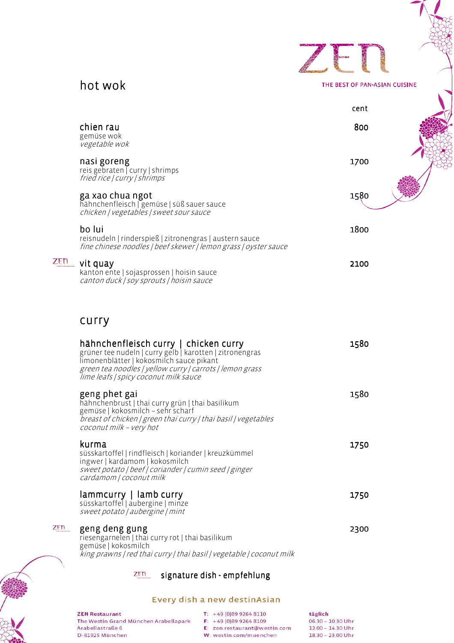



THE BEST OF PAN-ASIAN CUISINE

|            |                                                                                                                                                                                                                                                    | cent |  |
|------------|----------------------------------------------------------------------------------------------------------------------------------------------------------------------------------------------------------------------------------------------------|------|--|
|            | chien rau<br>gemüse wok<br>vegetable wok                                                                                                                                                                                                           | 800  |  |
|            | nasi goreng<br>reis gebraten $\sqrt{\frac{1}{1}}$ curry $\sqrt{\frac{1}{1}}$ shrimps<br>fried rice   curry   shrimps                                                                                                                               | 1700 |  |
|            | ga xao chua ngot<br>hähnchenfleisch   gemüse   süß sauer sauce<br>chicken   vegetables   sweet sour sauce                                                                                                                                          | 1580 |  |
|            | bo lui<br>reisnudeln   rinderspieß   zitronengras   austern sauce<br>fine chinese noodles   beef skewer   lemon grass   oyster sauce                                                                                                               | 1800 |  |
| <b>ZEN</b> | vit quay<br>kanton ente   sojasprossen   hoisin sauce<br>canton duck   soy sprouts   hoisin sauce                                                                                                                                                  | 2100 |  |
|            | curry                                                                                                                                                                                                                                              |      |  |
|            | hähnchenfleisch curry   chicken curry<br>grüner tee nudeln   curry gelb   karotten   zitronengras<br>limonenblätter   kokosmilch sauce pikant<br>green tea noodles   yellow curry   carrots   lemon grass<br>lime leafs   spicy coconut milk sauce | 1580 |  |
|            | geng phet gai<br>hähnchenbrust   thai curry grün   thai basilikum<br>gemüse   kokosmilch - sehr scharf<br>breast of chicken   green thai curry   thai basil   vegetables<br>coconut milk - very hot                                                | 1580 |  |
|            | kurma<br>süsskartoffel   rindfleisch   koriander   kreuzkümmel<br>ingwer   kardamom   kokosmilch<br>sweet potato   beef   coriander   cumin seed   ginger<br>cardamom / coconut milk                                                               | 1750 |  |
|            | lammcurry   lamb curry<br>süsskartoffel   aubergine   minze<br>sweet potato   aubergine   mint                                                                                                                                                     | 1750 |  |
| ZEN        | geng deng gung<br>riesengarnelen   thai curry rot   thai basilikum<br>gemüse   kokosmilch<br>king prawns   red thai curry   thai basil   vegetable   coconut milk                                                                                  | 2300 |  |
|            | ZEN<br>signature dish - empfehlung                                                                                                                                                                                                                 |      |  |

## Every dish a new destinAsian

**ZEN Restaurant** The Westin Grand München Arabellapark Arabellastraße 6 D-81925 München

T:  $+49(0)8992648110$ F:  $+49(0)8992648109$ 

E: zen.restaurant@westin.com W: westin.com/muenchen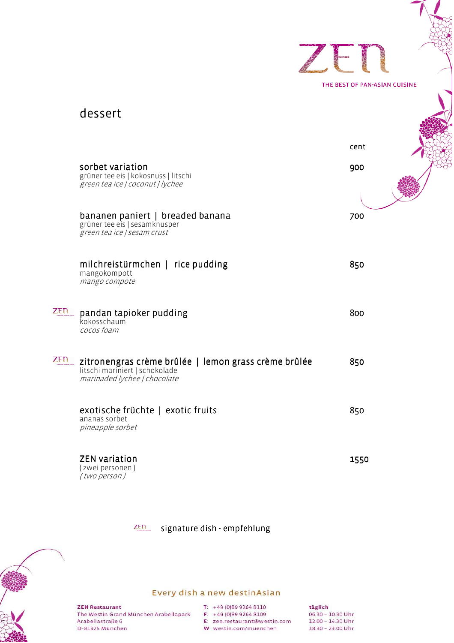|     |                                                                                                                        | THE BEST OF PAN-ASIAN CUISINE |
|-----|------------------------------------------------------------------------------------------------------------------------|-------------------------------|
|     | dessert                                                                                                                |                               |
|     |                                                                                                                        | cent                          |
|     | sorbet variation<br>grüner tee eis   kokosnuss   litschi<br>green tea ice   coconut   lychee                           | 900                           |
|     |                                                                                                                        | 700                           |
|     | bananen paniert   breaded banana<br>grüner tee eis   sesamknusper<br>green tea ice   sesam crust                       |                               |
|     | milchreistürmchen   rice pudding<br>mangokompott<br>mango compote                                                      | 850                           |
| ZEN | pandan tapioker pudding<br>kokosschaum<br>cocos foam                                                                   | 800                           |
| ZEN | zitronengras crème brûlée   lemon grass crème brûlée<br>litschi mariniert   schokolade<br>marinaded lychee   chocolate | 850                           |
|     | exotische früchte   exotic fruits<br>ananas sorbet<br>pineapple sorbet                                                 | 850                           |
|     | <b>ZEN</b> variation<br>(zwei personen)<br>(two person)                                                                | 1550                          |

ZEN signature dish - empfehlung



## Every dish a new destinAsian

**ZEN Restaurant** The Westin Grand München Arabellapark Arabellastraße 6 D-81925 München

T:  $+49(0)8992648110$  $F: +49(0)8992648109$ E: zen.restaurant@westin.com W: westin.com/muenchen